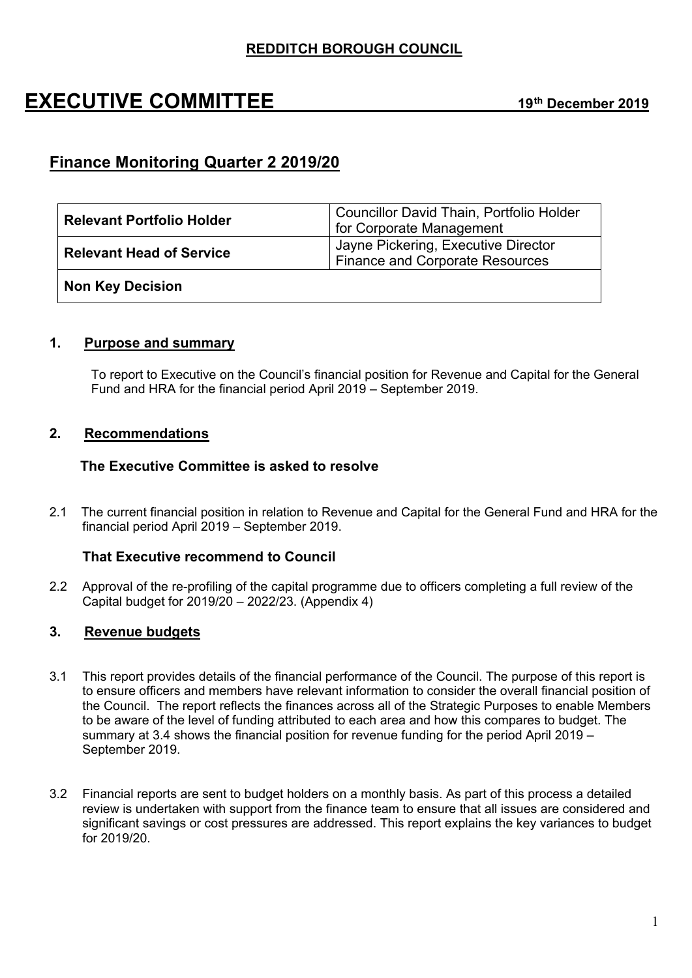## **EXECUTIVE COMMITTEE 19th December <sup>2019</sup>**

## **Finance Monitoring Quarter 2 2019/20**

| <b>Relevant Portfolio Holder</b> | Councillor David Thain, Portfolio Holder<br>for Corporate Management   |  |  |  |
|----------------------------------|------------------------------------------------------------------------|--|--|--|
| <b>Relevant Head of Service</b>  | Jayne Pickering, Executive Director<br>Finance and Corporate Resources |  |  |  |
| <b>Non Key Decision</b>          |                                                                        |  |  |  |

### **1. Purpose and summary**

To report to Executive on the Council's financial position for Revenue and Capital for the General Fund and HRA for the financial period April 2019 – September 2019.

### **2. Recommendations**

#### **The Executive Committee is asked to resolve**

2.1 The current financial position in relation to Revenue and Capital for the General Fund and HRA for the financial period April 2019 – September 2019.

### **That Executive recommend to Council**

2.2 Approval of the re-profiling of the capital programme due to officers completing a full review of the Capital budget for 2019/20 – 2022/23. (Appendix 4)

## **3. Revenue budgets**

- 3.1 This report provides details of the financial performance of the Council. The purpose of this report is to ensure officers and members have relevant information to consider the overall financial position of the Council. The report reflects the finances across all of the Strategic Purposes to enable Members to be aware of the level of funding attributed to each area and how this compares to budget. The summary at 3.4 shows the financial position for revenue funding for the period April 2019 – September 2019.
- 3.2 Financial reports are sent to budget holders on a monthly basis. As part of this process a detailed review is undertaken with support from the finance team to ensure that all issues are considered and significant savings or cost pressures are addressed. This report explains the key variances to budget for 2019/20.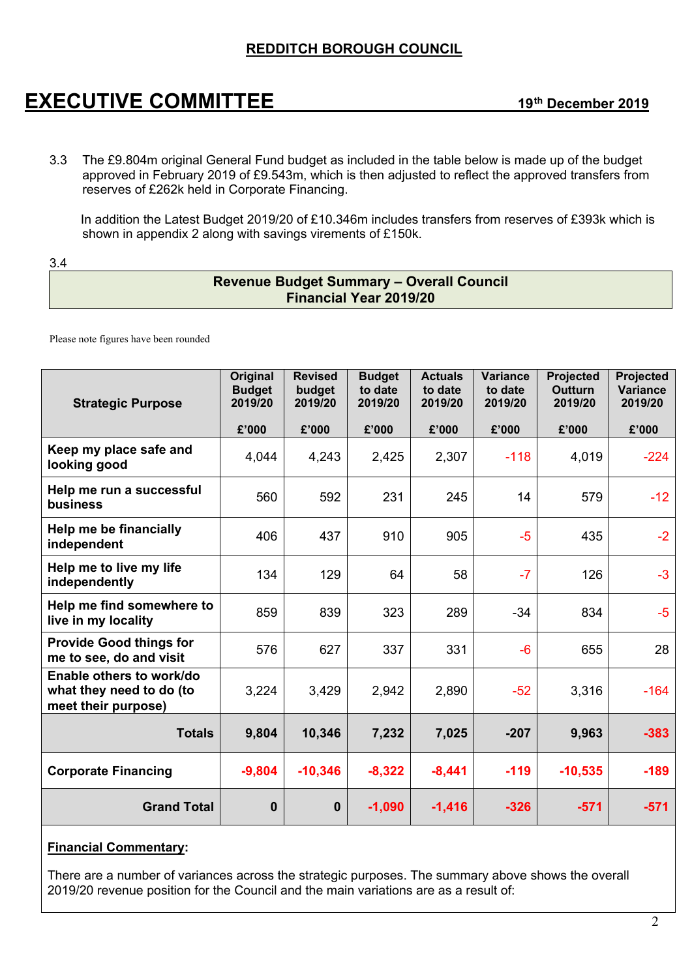## **EXECUTIVE COMMITTEE 19th December <sup>2019</sup>**

3.3 The £9.804m original General Fund budget as included in the table below is made up of the budget approved in February 2019 of £9.543m, which is then adjusted to reflect the approved transfers from reserves of £262k held in Corporate Financing.

In addition the Latest Budget 2019/20 of £10.346m includes transfers from reserves of £393k which is shown in appendix 2 along with savings virements of £150k.

3.4

## **Revenue Budget Summary – Overall Council Financial Year 2019/20**

Please note figures have been rounded

| <b>Strategic Purpose</b>                                                    | Original<br><b>Budget</b><br>2019/20 | <b>Revised</b><br>budget<br>2019/20 | <b>Budget</b><br>to date<br>2019/20 | <b>Actuals</b><br>to date<br>2019/20 | <b>Variance</b><br>to date<br>2019/20 | Projected<br><b>Outturn</b><br>2019/20 | <b>Projected</b><br><b>Variance</b><br>2019/20 |
|-----------------------------------------------------------------------------|--------------------------------------|-------------------------------------|-------------------------------------|--------------------------------------|---------------------------------------|----------------------------------------|------------------------------------------------|
|                                                                             | £'000                                | £'000                               | £'000                               | £'000                                | £'000                                 | £'000                                  | £'000                                          |
| Keep my place safe and<br>looking good                                      | 4,044                                | 4,243                               | 2,425                               | 2,307                                | $-118$                                | 4,019                                  | $-224$                                         |
| Help me run a successful<br>business                                        | 560                                  | 592                                 | 231                                 | 245                                  | 14                                    | 579                                    | $-12$                                          |
| Help me be financially<br>independent                                       | 406                                  | 437                                 | 910                                 | 905                                  | $-5$                                  | 435                                    | $-2$                                           |
| Help me to live my life<br>independently                                    | 134                                  | 129                                 | 64                                  | 58                                   | $-7$                                  | 126                                    | $-3$                                           |
| Help me find somewhere to<br>live in my locality                            | 859                                  | 839                                 | 323                                 | 289                                  | $-34$                                 | 834                                    | $-5$                                           |
| <b>Provide Good things for</b><br>me to see, do and visit                   | 576                                  | 627                                 | 337                                 | 331                                  | $-6$                                  | 655                                    | 28                                             |
| Enable others to work/do<br>what they need to do (to<br>meet their purpose) | 3,224                                | 3,429                               | 2,942                               | 2,890                                | $-52$                                 | 3,316                                  | $-164$                                         |
| <b>Totals</b>                                                               | 9,804                                | 10,346                              | 7,232                               | 7,025                                | $-207$                                | 9,963                                  | $-383$                                         |
| <b>Corporate Financing</b>                                                  | $-9,804$                             | $-10,346$                           | $-8,322$                            | $-8,441$                             | $-119$                                | $-10,535$                              | $-189$                                         |
| <b>Grand Total</b>                                                          | 0                                    | $\mathbf 0$                         | $-1,090$                            | $-1,416$                             | $-326$                                | $-571$                                 | $-571$                                         |

#### **Financial Commentary:**

There are a number of variances across the strategic purposes. The summary above shows the overall 2019/20 revenue position for the Council and the main variations are as a result of: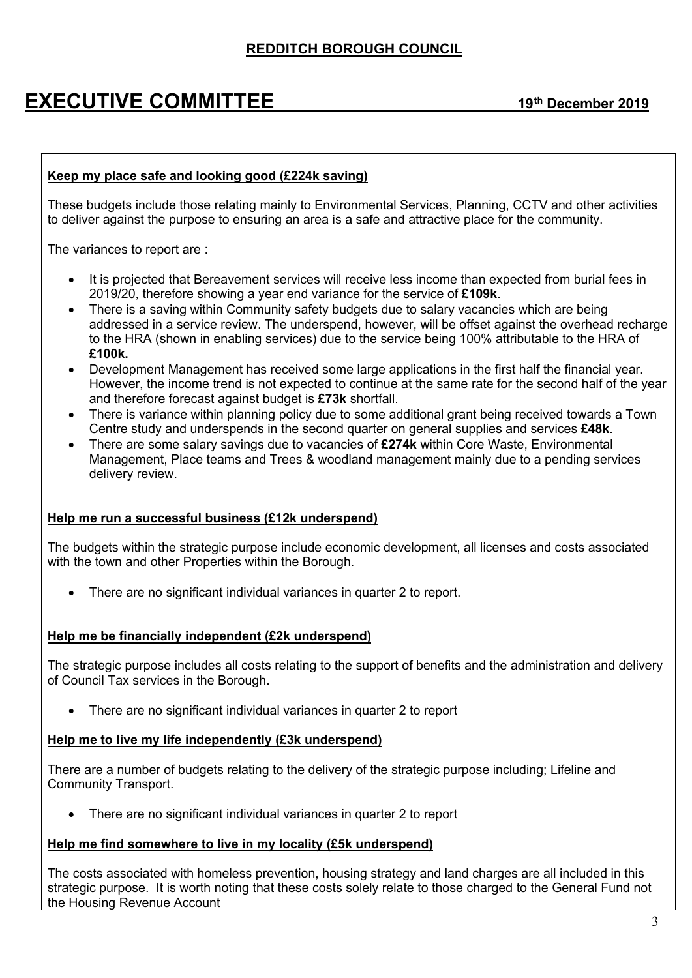# **EXECUTIVE COMMITTEE 19th December <sup>2019</sup>**

### **Keep my place safe and looking good (£224k saving)**

These budgets include those relating mainly to Environmental Services, Planning, CCTV and other activities to deliver against the purpose to ensuring an area is a safe and attractive place for the community.

The variances to report are :

- It is projected that Bereavement services will receive less income than expected from burial fees in 2019/20, therefore showing a year end variance for the service of **£109k**.
- There is a saving within Community safety budgets due to salary vacancies which are being addressed in a service review. The underspend, however, will be offset against the overhead recharge to the HRA (shown in enabling services) due to the service being 100% attributable to the HRA of **£100k.**
- Development Management has received some large applications in the first half the financial year. However, the income trend is not expected to continue at the same rate for the second half of the year and therefore forecast against budget is **£73k** shortfall.
- There is variance within planning policy due to some additional grant being received towards a Town Centre study and underspends in the second quarter on general supplies and services **£48k**.
- There are some salary savings due to vacancies of **£274k** within Core Waste, Environmental Management, Place teams and Trees & woodland management mainly due to a pending services delivery review.

#### **Help me run a successful business (£12k underspend)**

The budgets within the strategic purpose include economic development, all licenses and costs associated with the town and other Properties within the Borough.

• There are no significant individual variances in quarter 2 to report.

#### **Help me be financially independent (£2k underspend)**

The strategic purpose includes all costs relating to the support of benefits and the administration and delivery of Council Tax services in the Borough.

There are no significant individual variances in quarter 2 to report

#### **Help me to live my life independently (£3k underspend)**

There are a number of budgets relating to the delivery of the strategic purpose including; Lifeline and Community Transport.

There are no significant individual variances in quarter 2 to report

#### **Help me find somewhere to live in my locality (£5k underspend)**

The costs associated with homeless prevention, housing strategy and land charges are all included in this strategic purpose. It is worth noting that these costs solely relate to those charged to the General Fund not the Housing Revenue Account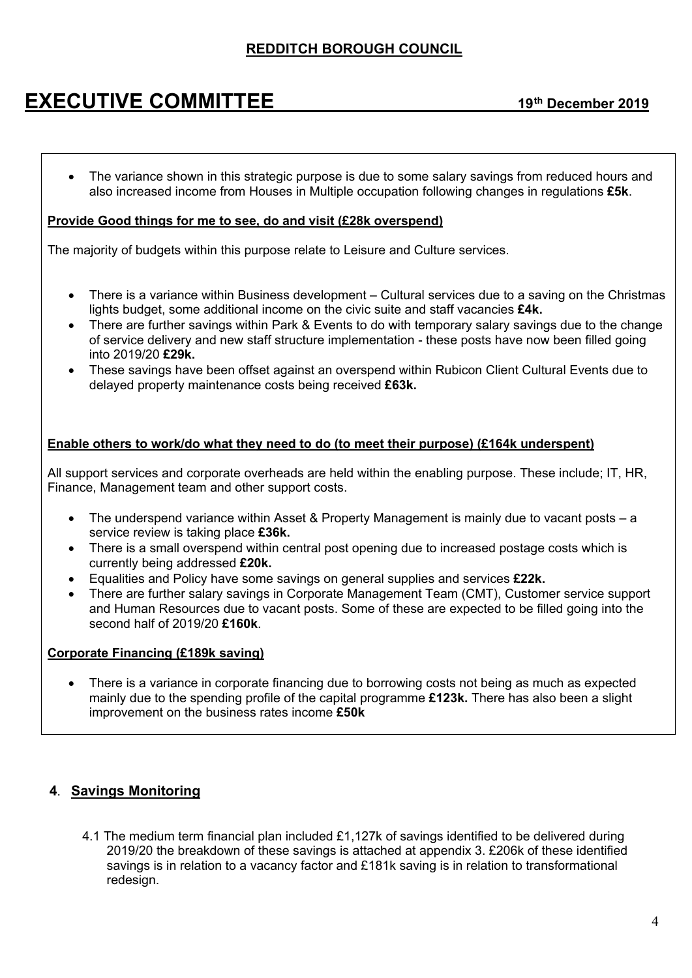## **EXECUTIVE COMMITTEE 19th December <sup>2019</sup>**

• The variance shown in this strategic purpose is due to some salary savings from reduced hours and also increased income from Houses in Multiple occupation following changes in regulations **£5k**.

#### **Provide Good things for me to see, do and visit (£28k overspend)**

The majority of budgets within this purpose relate to Leisure and Culture services.

- There is a variance within Business development Cultural services due to a saving on the Christmas lights budget, some additional income on the civic suite and staff vacancies **£4k.**
- There are further savings within Park & Events to do with temporary salary savings due to the change of service delivery and new staff structure implementation - these posts have now been filled going into 2019/20 **£29k.**
- These savings have been offset against an overspend within Rubicon Client Cultural Events due to delayed property maintenance costs being received **£63k.**

## **Enable others to work/do what they need to do (to meet their purpose) (£164k underspent)**

All support services and corporate overheads are held within the enabling purpose. These include; IT, HR, Finance, Management team and other support costs.

- The underspend variance within Asset & Property Management is mainly due to vacant posts a service review is taking place **£36k.**
- There is a small overspend within central post opening due to increased postage costs which is currently being addressed **£20k.**
- Equalities and Policy have some savings on general supplies and services **£22k.**
- There are further salary savings in Corporate Management Team (CMT), Customer service support and Human Resources due to vacant posts. Some of these are expected to be filled going into the second half of 2019/20 **£160k**.

#### **Corporate Financing (£189k saving)**

 There is a variance in corporate financing due to borrowing costs not being as much as expected mainly due to the spending profile of the capital programme **£123k.** There has also been a slight improvement on the business rates income **£50k**

## **4**. **Savings Monitoring**

4.1 The medium term financial plan included £1,127k of savings identified to be delivered during 2019/20 the breakdown of these savings is attached at appendix 3. £206k of these identified savings is in relation to a vacancy factor and £181k saving is in relation to transformational redesign.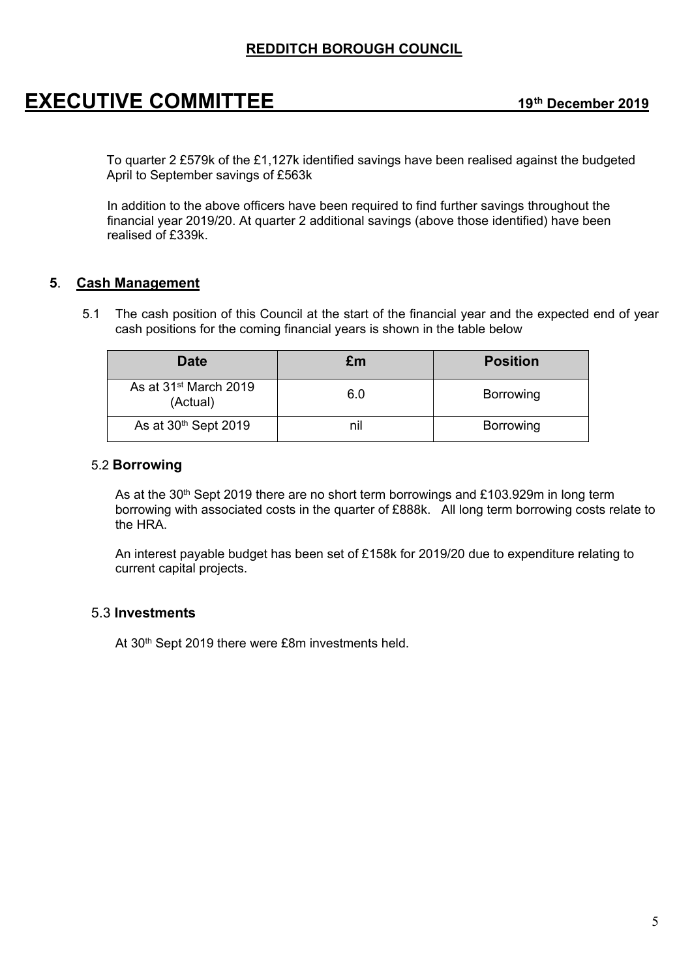## **EXECUTIVE COMMITTEE 19th December <sup>2019</sup>**

To quarter 2 £579k of the £1,127k identified savings have been realised against the budgeted April to September savings of £563k

In addition to the above officers have been required to find further savings throughout the financial year 2019/20. At quarter 2 additional savings (above those identified) have been realised of £339k.

## **5**. **Cash Management**

5.1 The cash position of this Council at the start of the financial year and the expected end of year cash positions for the coming financial years is shown in the table below

| Date                                          | £m  | <b>Position</b>  |
|-----------------------------------------------|-----|------------------|
| As at 31 <sup>st</sup> March 2019<br>(Actual) | 6.0 | Borrowing        |
| As at 30 <sup>th</sup> Sept 2019              | nil | <b>Borrowing</b> |

### 5.2 **Borrowing**

As at the  $30<sup>th</sup>$  Sept 2019 there are no short term borrowings and £103.929m in long term borrowing with associated costs in the quarter of £888k. All long term borrowing costs relate to the HRA.

An interest payable budget has been set of £158k for 2019/20 due to expenditure relating to current capital projects.

## 5.3 **Investments**

At 30<sup>th</sup> Sept 2019 there were £8m investments held.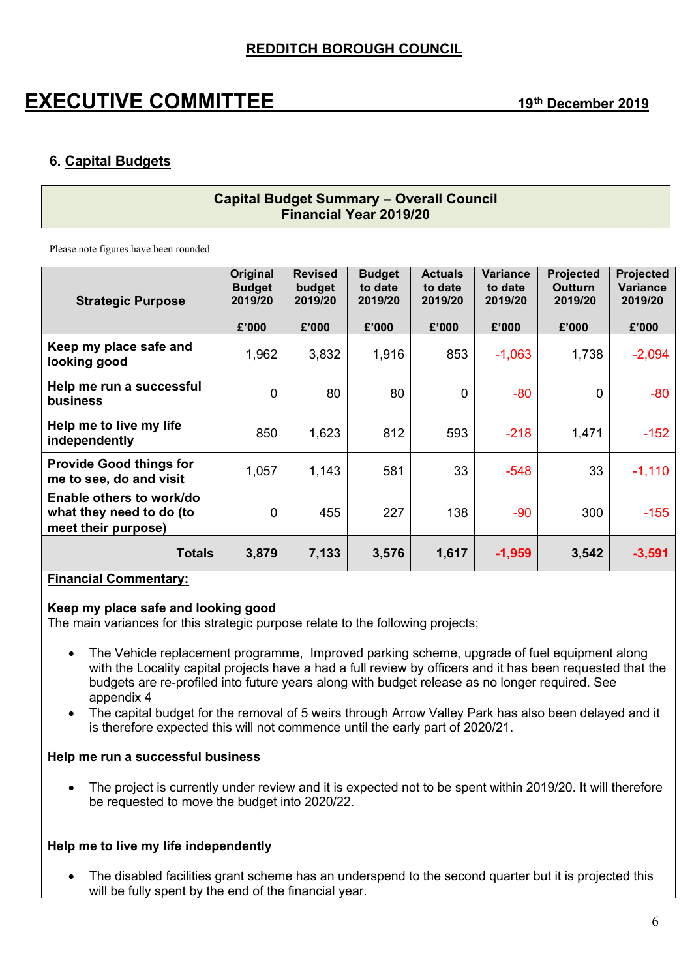## **EXECUTIVE COMMITTEE 19th December <sup>2019</sup>**

## **6. Capital Budgets**

## **Capital Budget Summary – Overall Council Financial Year 2019/20**

Please note figures have been rounded

| <b>Strategic Purpose</b>                                                    | Original<br><b>Budget</b><br>2019/20 | <b>Revised</b><br>budget<br>2019/20 | <b>Budget</b><br>to date<br>2019/20 | <b>Actuals</b><br>to date<br>2019/20 | Variance<br>to date<br>2019/20 | <b>Projected</b><br><b>Outturn</b><br>2019/20 | <b>Projected</b><br><b>Variance</b><br>2019/20 |
|-----------------------------------------------------------------------------|--------------------------------------|-------------------------------------|-------------------------------------|--------------------------------------|--------------------------------|-----------------------------------------------|------------------------------------------------|
|                                                                             | £'000                                | £'000                               | £'000                               | £'000                                | £'000                          | £'000                                         | £'000                                          |
| Keep my place safe and<br>looking good                                      | 1,962                                | 3,832                               | 1,916                               | 853                                  | $-1,063$                       | 1,738                                         | $-2,094$                                       |
| Help me run a successful<br><b>business</b>                                 | $\mathbf{0}$                         | 80                                  | 80                                  | $\mathbf 0$                          | $-80$                          | $\mathbf 0$                                   | $-80$                                          |
| Help me to live my life<br>independently                                    | 850                                  | 1,623                               | 812                                 | 593                                  | $-218$                         | 1,471                                         | $-152$                                         |
| <b>Provide Good things for</b><br>me to see, do and visit                   | 1,057                                | 1,143                               | 581                                 | 33                                   | $-548$                         | 33                                            | $-1,110$                                       |
| Enable others to work/do<br>what they need to do (to<br>meet their purpose) | $\mathbf{0}$                         | 455                                 | 227                                 | 138                                  | $-90$                          | 300                                           | $-155$                                         |
| <b>Totals</b>                                                               | 3,879                                | 7,133                               | 3,576                               | 1,617                                | $-1,959$                       | 3,542                                         | $-3,591$                                       |

#### **Financial Commentary:**

#### **Keep my place safe and looking good**

The main variances for this strategic purpose relate to the following projects;

- The Vehicle replacement programme, Improved parking scheme, upgrade of fuel equipment along with the Locality capital projects have a had a full review by officers and it has been requested that the budgets are re-profiled into future years along with budget release as no longer required. See appendix 4
- The capital budget for the removal of 5 weirs through Arrow Valley Park has also been delayed and it is therefore expected this will not commence until the early part of 2020/21.

#### **Help me run a successful business**

• The project is currently under review and it is expected not to be spent within 2019/20. It will therefore be requested to move the budget into 2020/22.

#### **Help me to live my life independently**

• The disabled facilities grant scheme has an underspend to the second quarter but it is projected this will be fully spent by the end of the financial year.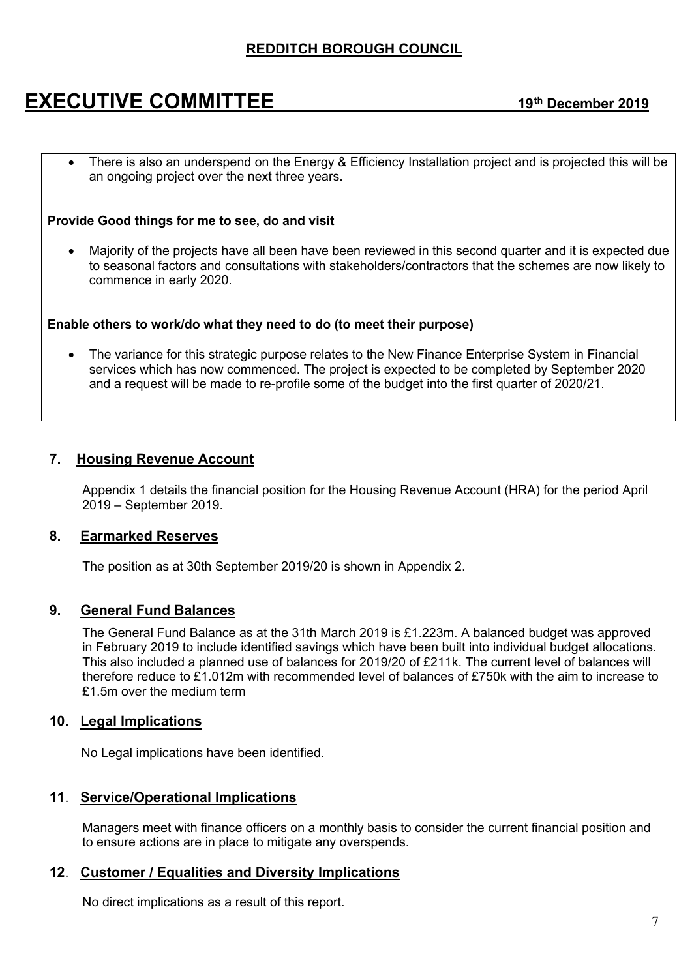## **EXECUTIVE COMMITTEE 19th December <sup>2019</sup>**

There is also an underspend on the Energy & Efficiency Installation project and is projected this will be an ongoing project over the next three years.

#### **Provide Good things for me to see, do and visit**

 Majority of the projects have all been have been reviewed in this second quarter and it is expected due to seasonal factors and consultations with stakeholders/contractors that the schemes are now likely to commence in early 2020.

#### **Enable others to work/do what they need to do (to meet their purpose)**

 The variance for this strategic purpose relates to the New Finance Enterprise System in Financial services which has now commenced. The project is expected to be completed by September 2020 and a request will be made to re-profile some of the budget into the first quarter of 2020/21.

## **7. Housing Revenue Account**

Appendix 1 details the financial position for the Housing Revenue Account (HRA) for the period April 2019 – September 2019.

#### **8. Earmarked Reserves**

The position as at 30th September 2019/20 is shown in Appendix 2.

## **9. General Fund Balances**

The General Fund Balance as at the 31th March 2019 is £1.223m. A balanced budget was approved in February 2019 to include identified savings which have been built into individual budget allocations. This also included a planned use of balances for 2019/20 of £211k. The current level of balances will therefore reduce to £1.012m with recommended level of balances of £750k with the aim to increase to £1.5m over the medium term

#### **10. Legal Implications**

No Legal implications have been identified.

## **11**. **Service/Operational Implications**

Managers meet with finance officers on a monthly basis to consider the current financial position and to ensure actions are in place to mitigate any overspends.

#### **12**. **Customer / Equalities and Diversity Implications**

No direct implications as a result of this report.